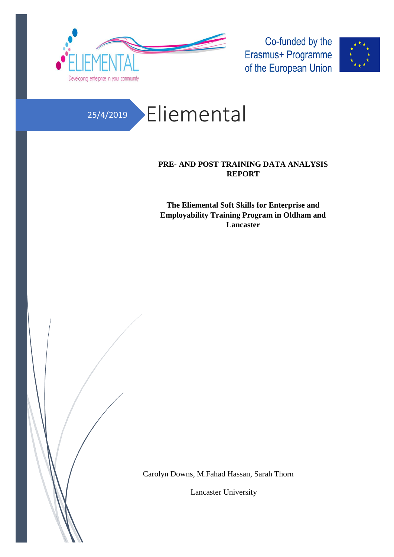

Co-funded by the Erasmus+ Programme of the European Union



## 25/4/2019 Eliemental

### **PRE- AND POST TRAINING DATA ANALYSIS REPORT**

**The Eliemental Soft Skills for Enterprise and Employability Training Program in Oldham and Lancaster**

Carolyn Downs, M.Fahad Hassan, Sarah Thorn

Lancaster University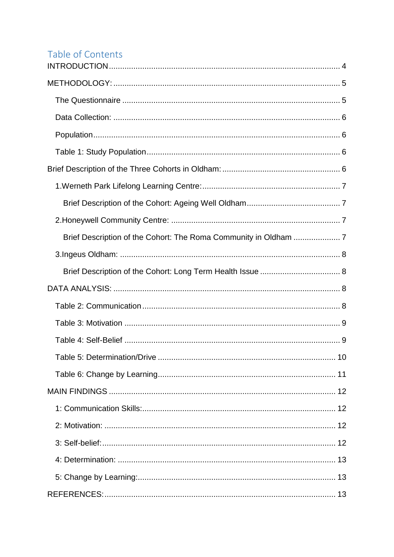# Table of Contents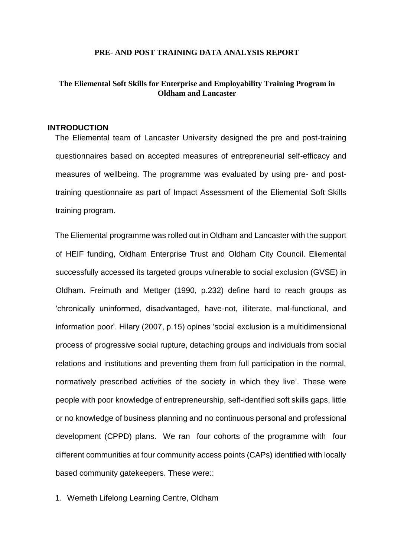#### **PRE- AND POST TRAINING DATA ANALYSIS REPORT**

### **The Eliemental Soft Skills for Enterprise and Employability Training Program in Oldham and Lancaster**

#### <span id="page-3-0"></span>**INTRODUCTION**

The Eliemental team of Lancaster University designed the pre and post-training questionnaires based on accepted measures of entrepreneurial self-efficacy and measures of wellbeing. The programme was evaluated by using pre- and posttraining questionnaire as part of Impact Assessment of the Eliemental Soft Skills training program.

The Eliemental programme was rolled out in Oldham and Lancaster with the support of HEIF funding, Oldham Enterprise Trust and Oldham City Council. Eliemental successfully accessed its targeted groups vulnerable to social exclusion (GVSE) in Oldham. Freimuth and Mettger (1990, p.232) define hard to reach groups as 'chronically uninformed, disadvantaged, have-not, illiterate, mal-functional, and information poor'. Hilary (2007, p.15) opines 'social exclusion is a multidimensional process of progressive social rupture, detaching groups and individuals from social relations and institutions and preventing them from full participation in the normal, normatively prescribed activities of the society in which they live'. These were people with poor knowledge of entrepreneurship, self-identified soft skills gaps, little or no knowledge of business planning and no continuous personal and professional development (CPPD) plans. We ran four cohorts of the programme with four different communities at four community access points (CAPs) identified with locally based community gatekeepers. These were::

1. Werneth Lifelong Learning Centre, Oldham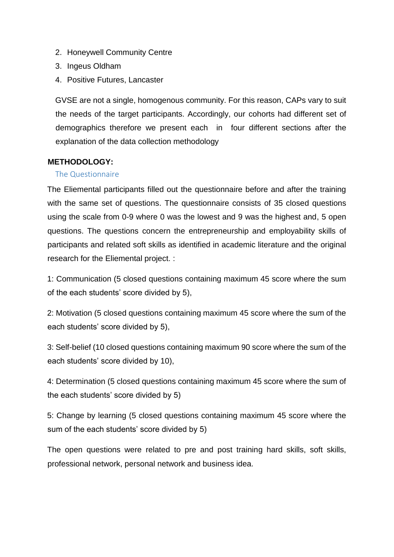- 2. Honeywell Community Centre
- 3. Ingeus Oldham
- 4. Positive Futures, Lancaster

GVSE are not a single, homogenous community. For this reason, CAPs vary to suit the needs of the target participants. Accordingly, our cohorts had different set of demographics therefore we present each in four different sections after the explanation of the data collection methodology

### <span id="page-4-0"></span>**METHODOLOGY:**

### <span id="page-4-1"></span>The Questionnaire

The Eliemental participants filled out the questionnaire before and after the training with the same set of questions. The questionnaire consists of 35 closed questions using the scale from 0-9 where 0 was the lowest and 9 was the highest and, 5 open questions. The questions concern the entrepreneurship and employability skills of participants and related soft skills as identified in academic literature and the original research for the Eliemental project. :

1: Communication (5 closed questions containing maximum 45 score where the sum of the each students' score divided by 5),

2: Motivation (5 closed questions containing maximum 45 score where the sum of the each students' score divided by 5),

3: Self-belief (10 closed questions containing maximum 90 score where the sum of the each students' score divided by 10),

4: Determination (5 closed questions containing maximum 45 score where the sum of the each students' score divided by 5)

5: Change by learning (5 closed questions containing maximum 45 score where the sum of the each students' score divided by 5)

The open questions were related to pre and post training hard skills, soft skills, professional network, personal network and business idea.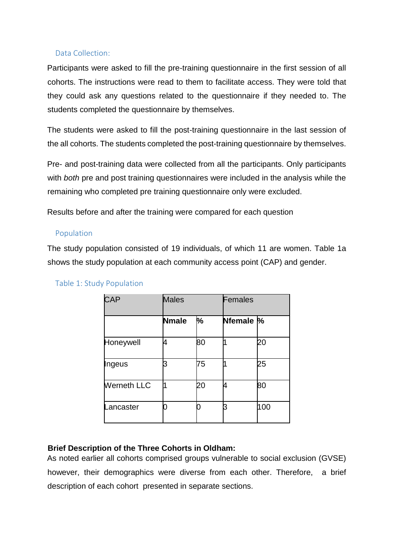### <span id="page-5-0"></span>Data Collection:

Participants were asked to fill the pre-training questionnaire in the first session of all cohorts. The instructions were read to them to facilitate access. They were told that they could ask any questions related to the questionnaire if they needed to. The students completed the questionnaire by themselves.

The students were asked to fill the post-training questionnaire in the last session of the all cohorts. The students completed the post-training questionnaire by themselves.

Pre- and post-training data were collected from all the participants. Only participants with *both* pre and post training questionnaires were included in the analysis while the remaining who completed pre training questionnaire only were excluded.

Results before and after the training were compared for each question

### <span id="page-5-1"></span>Population

The study population consisted of 19 individuals, of which 11 are women. Table 1a shows the study population at each community access point (CAP) and gender.

| <b>CAP</b>         | <b>Males</b> |    |           | Females |  |
|--------------------|--------------|----|-----------|---------|--|
|                    | <b>Nmale</b> | %  | Nfemale % |         |  |
| Honeywell          |              | 80 |           | 20      |  |
| Ingeus             |              | 75 |           | 25      |  |
| <b>Werneth LLC</b> |              | 20 |           | 80      |  |
| Lancaster          |              |    |           | 100     |  |

### <span id="page-5-2"></span>Table 1: Study Population

### <span id="page-5-3"></span>**Brief Description of the Three Cohorts in Oldham:**

As noted earlier all cohorts comprised groups vulnerable to social exclusion (GVSE) however, their demographics were diverse from each other. Therefore, a brief description of each cohort presented in separate sections.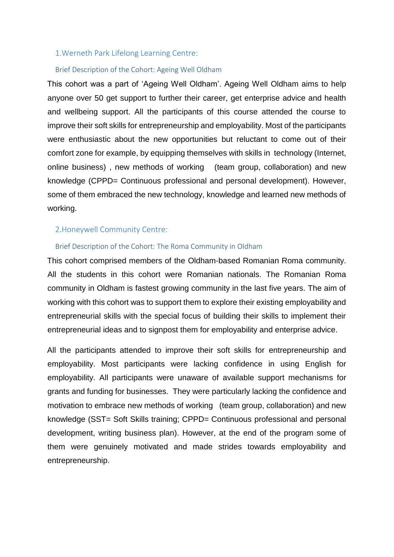#### <span id="page-6-0"></span>1.Werneth Park Lifelong Learning Centre:

#### <span id="page-6-1"></span>Brief Description of the Cohort: Ageing Well Oldham

This cohort was a part of 'Ageing Well Oldham'. Ageing Well Oldham aims to help anyone over 50 get support to further their career, get enterprise advice and health and wellbeing support. All the participants of this course attended the course to improve their soft skills for entrepreneurship and employability. Most of the participants were enthusiastic about the new opportunities but reluctant to come out of their comfort zone for example, by equipping themselves with skills in technology (Internet, online business) , new methods of working (team group, collaboration) and new knowledge (CPPD= Continuous professional and personal development). However, some of them embraced the new technology, knowledge and learned new methods of working.

#### <span id="page-6-2"></span>2.Honeywell Community Centre:

#### <span id="page-6-3"></span>Brief Description of the Cohort: The Roma Community in Oldham

This cohort comprised members of the Oldham-based Romanian Roma community. All the students in this cohort were Romanian nationals. The Romanian Roma community in Oldham is fastest growing community in the last five years. The aim of working with this cohort was to support them to explore their existing employability and entrepreneurial skills with the special focus of building their skills to implement their entrepreneurial ideas and to signpost them for employability and enterprise advice.

All the participants attended to improve their soft skills for entrepreneurship and employability. Most participants were lacking confidence in using English for employability. All participants were unaware of available support mechanisms for grants and funding for businesses. They were particularly lacking the confidence and motivation to embrace new methods of working (team group, collaboration) and new knowledge (SST= Soft Skills training; CPPD= Continuous professional and personal development, writing business plan). However, at the end of the program some of them were genuinely motivated and made strides towards employability and entrepreneurship.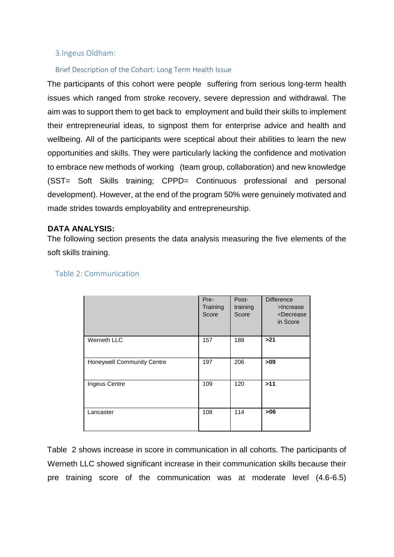#### <span id="page-7-0"></span>3.Ingeus Oldham:

#### <span id="page-7-1"></span>Brief Description of the Cohort: Long Term Health Issue

The participants of this cohort were people suffering from serious long-term health issues which ranged from stroke recovery, severe depression and withdrawal. The aim was to support them to get back to employment and build their skills to implement their entrepreneurial ideas, to signpost them for enterprise advice and health and wellbeing. All of the participants were sceptical about their abilities to learn the new opportunities and skills. They were particularly lacking the confidence and motivation to embrace new methods of working (team group, collaboration) and new knowledge (SST= Soft Skills training; CPPD= Continuous professional and personal development). However, at the end of the program 50% were genuinely motivated and made strides towards employability and entrepreneurship.

#### <span id="page-7-2"></span>**DATA ANALYSIS:**

The following section presents the data analysis measuring the five elements of the soft skills training.

|                            | Pre-<br>Training<br>Score | Post-<br>training<br>Score | <b>Difference</b><br>>Increase<br><decrease<br>in Score</decrease<br> |
|----------------------------|---------------------------|----------------------------|-----------------------------------------------------------------------|
| Werneth LLC                | 157                       | 188                        | >21                                                                   |
| Honeywell Community Centre | 197                       | 206                        | >09                                                                   |
| Ingeus Centre              | 109                       | 120                        | $>11$                                                                 |
| Lancaster                  | 108                       | 114                        | >06                                                                   |

#### <span id="page-7-3"></span>Table 2: Communication

Table 2 shows increase in score in communication in all cohorts. The participants of Werneth LLC showed significant increase in their communication skills because their pre training score of the communication was at moderate level (4.6-6.5)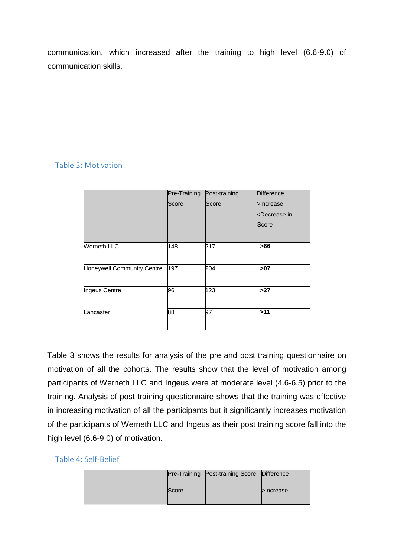communication, which increased after the training to high level (6.6-9.0) of communication skills.

### <span id="page-8-0"></span>Table 3: Motivation

|                            | Pre-Training | Post-training | <b>Difference</b>                  |
|----------------------------|--------------|---------------|------------------------------------|
|                            | Score        | Score         | >Increase                          |
|                            |              |               | <decrease in<="" td=""></decrease> |
|                            |              |               | Score                              |
|                            |              |               |                                    |
| <b>Werneth LLC</b>         | 148          | 217           | >66                                |
|                            |              |               |                                    |
| Honeywell Community Centre | 197          | 204           | >07                                |
| Ingeus Centre              | 96           | 123           | >27                                |
| Lancaster                  | 88           | 97            | >11                                |

Table 3 shows the results for analysis of the pre and post training questionnaire on motivation of all the cohorts. The results show that the level of motivation among participants of Werneth LLC and Ingeus were at moderate level (4.6-6.5) prior to the training. Analysis of post training questionnaire shows that the training was effective in increasing motivation of all the participants but it significantly increases motivation of the participants of Werneth LLC and Ingeus as their post training score fall into the high level (6.6-9.0) of motivation.

<span id="page-8-1"></span>

|       | Pre-Training Post-training Score Difference |                 |
|-------|---------------------------------------------|-----------------|
| Score |                                             | <b>Increase</b> |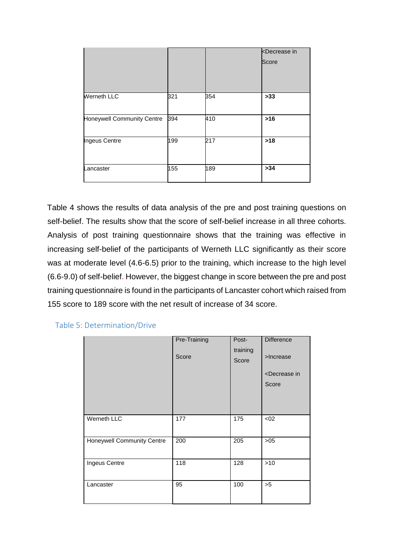|                            |     |     | <b><decrease< b=""> in<br/>Score</decrease<></b> |
|----------------------------|-----|-----|--------------------------------------------------|
| <b>Werneth LLC</b>         | 321 | 354 | $>33$                                            |
| Honeywell Community Centre | 394 | 410 | $>16$                                            |
| Ingeus Centre              | 199 | 217 | $>18$                                            |
| Lancaster                  | 155 | 189 | >34                                              |

Table 4 shows the results of data analysis of the pre and post training questions on self-belief. The results show that the score of self-belief increase in all three cohorts. Analysis of post training questionnaire shows that the training was effective in increasing self-belief of the participants of Werneth LLC significantly as their score was at moderate level (4.6-6.5) prior to the training, which increase to the high level (6.6-9.0) of self-belief. However, the biggest change in score between the pre and post training questionnaire is found in the participants of Lancaster cohort which raised from 155 score to 189 score with the net result of increase of 34 score.

<span id="page-9-0"></span>

| Table 5: Determination/Drive |  |  |  |  |  |  |  |
|------------------------------|--|--|--|--|--|--|--|
|------------------------------|--|--|--|--|--|--|--|

|                                   | Pre-Training | Post-<br>training | <b>Difference</b>                  |
|-----------------------------------|--------------|-------------------|------------------------------------|
|                                   | Score        | Score             | >Increase                          |
|                                   |              |                   | <decrease in<="" td=""></decrease> |
|                                   |              |                   | Score                              |
|                                   |              |                   |                                    |
|                                   |              |                   |                                    |
| Werneth LLC                       | 177          | 175               | < 02                               |
| <b>Honeywell Community Centre</b> | 200          | 205               | $>05$                              |
| Ingeus Centre                     | 118          | 128               | $>10$                              |
| Lancaster                         | 95           | 100               | >5                                 |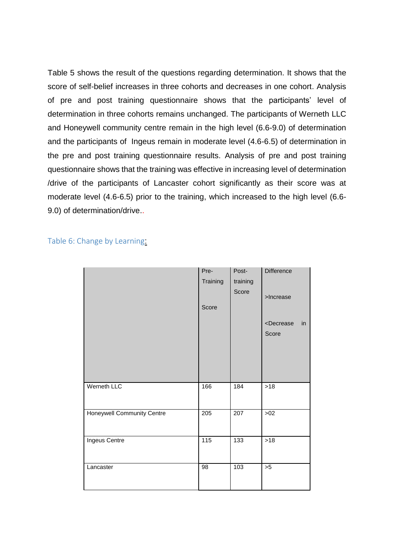Table 5 shows the result of the questions regarding determination. It shows that the score of self-belief increases in three cohorts and decreases in one cohort. Analysis of pre and post training questionnaire shows that the participants' level of determination in three cohorts remains unchanged. The participants of Werneth LLC and Honeywell community centre remain in the high level (6.6-9.0) of determination and the participants of Ingeus remain in moderate level (4.6-6.5) of determination in the pre and post training questionnaire results. Analysis of pre and post training questionnaire shows that the training was effective in increasing level of determination /drive of the participants of Lancaster cohort significantly as their score was at moderate level (4.6-6.5) prior to the training, which increased to the high level (6.6- 9.0) of determination/drive..

<span id="page-10-0"></span>Table 6: Change by Learning:

|                            | Pre-     | Post-    | Difference                    |
|----------------------------|----------|----------|-------------------------------|
|                            | Training | training |                               |
|                            | Score    | Score    | >Increase                     |
|                            |          |          | <decrease<br>in</decrease<br> |
|                            |          |          | Score                         |
|                            |          |          |                               |
|                            |          |          |                               |
|                            |          |          |                               |
|                            |          |          |                               |
| Werneth LLC                | 166      | 184      | $>18$                         |
| Honeywell Community Centre | 205      | 207      | $>02$                         |
|                            |          |          |                               |
| Ingeus Centre              | 115      | 133      | $>18$                         |
|                            |          |          |                               |
| Lancaster                  | 98       | 103      | >5                            |
|                            |          |          |                               |
|                            |          |          |                               |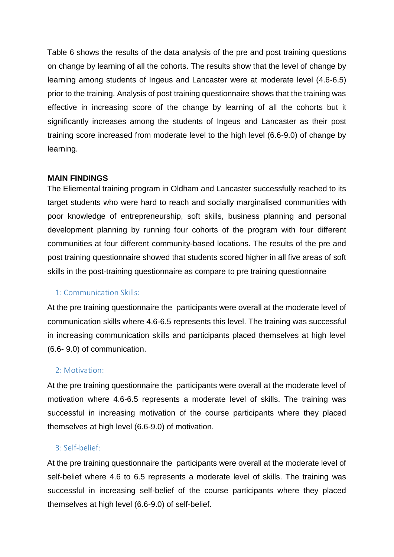Table 6 shows the results of the data analysis of the pre and post training questions on change by learning of all the cohorts. The results show that the level of change by learning among students of Ingeus and Lancaster were at moderate level (4.6-6.5) prior to the training. Analysis of post training questionnaire shows that the training was effective in increasing score of the change by learning of all the cohorts but it significantly increases among the students of Ingeus and Lancaster as their post training score increased from moderate level to the high level (6.6-9.0) of change by learning.

### <span id="page-11-0"></span>**MAIN FINDINGS**

The Eliemental training program in Oldham and Lancaster successfully reached to its target students who were hard to reach and socially marginalised communities with poor knowledge of entrepreneurship, soft skills, business planning and personal development planning by running four cohorts of the program with four different communities at four different community-based locations. The results of the pre and post training questionnaire showed that students scored higher in all five areas of soft skills in the post-training questionnaire as compare to pre training questionnaire

### <span id="page-11-1"></span>1: Communication Skills:

At the pre training questionnaire the participants were overall at the moderate level of communication skills where 4.6-6.5 represents this level. The training was successful in increasing communication skills and participants placed themselves at high level (6.6- 9.0) of communication.

### <span id="page-11-2"></span>2: Motivation:

At the pre training questionnaire the participants were overall at the moderate level of motivation where 4.6-6.5 represents a moderate level of skills. The training was successful in increasing motivation of the course participants where they placed themselves at high level (6.6-9.0) of motivation.

### <span id="page-11-3"></span>3: Self-belief:

At the pre training questionnaire the participants were overall at the moderate level of self-belief where 4.6 to 6.5 represents a moderate level of skills. The training was successful in increasing self-belief of the course participants where they placed themselves at high level (6.6-9.0) of self-belief.